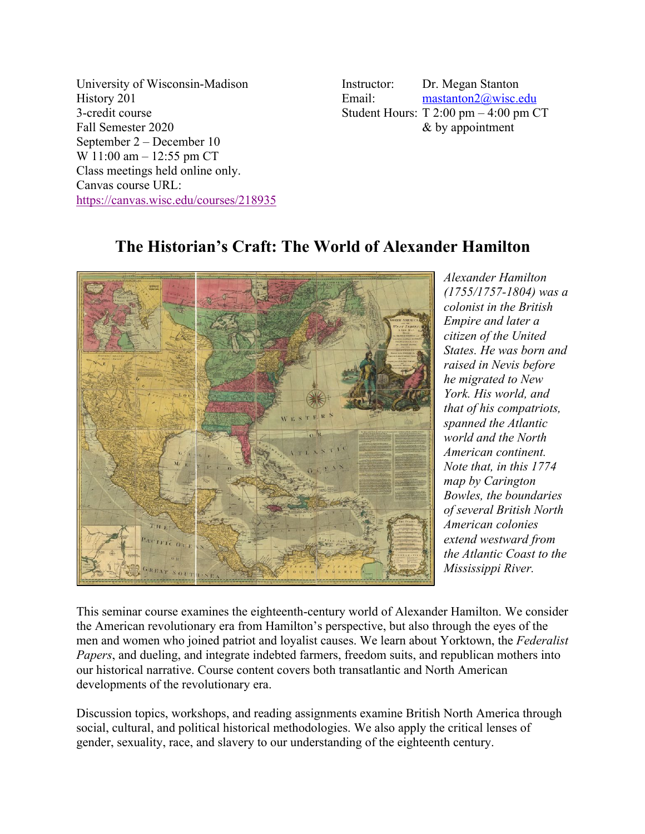University of Wisconsin-Madison History 201 3-credit course Fall Semester 2020 September 2 – December 10 W 11:00 am – 12:55 pm CT Class meetings held online only. Canvas course URL: https://canvas.wisc.edu/courses/218935 Instructor: Dr. Megan Stanton Email: mastanton2@wisc.edu Student Hours: T 2:00 pm – 4:00 pm CT & by appointment

# **The Historian's Craft: The World of Alexander Hamilton**



*Alexander Hamilton (1755/1757-1804) was a colonist in the British Empire and later a citizen of the United States. He was born and raised in Nevis before he migrated to New York. His world, and that of his compatriots, spanned the Atlantic world and the North American continent. Note that, in this 1774 map by Carington Bowles, the boundaries of several British North American colonies extend westward from the Atlantic Coast to the Mississippi River.*

This seminar course examines the eighteenth-century world of Alexander Hamilton. We consider the American revolutionary era from Hamilton's perspective, but also through the eyes of the men and women who joined patriot and loyalist causes. We learn about Yorktown, the *Federalist Papers*, and dueling, and integrate indebted farmers, freedom suits, and republican mothers into our historical narrative. Course content covers both transatlantic and North American developments of the revolutionary era.

Discussion topics, workshops, and reading assignments examine British North America through social, cultural, and political historical methodologies. We also apply the critical lenses of gender, sexuality, race, and slavery to our understanding of the eighteenth century.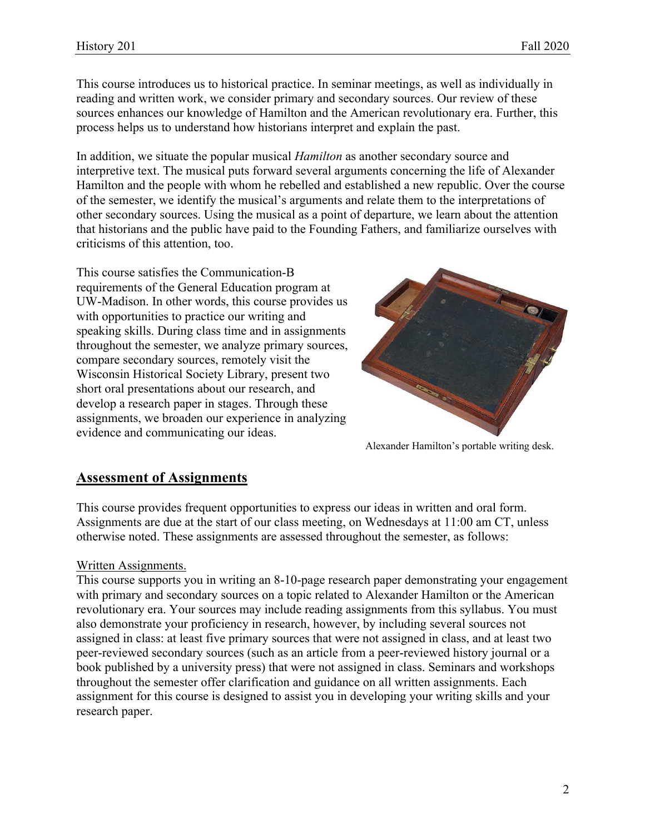This course introduces us to historical practice. In seminar meetings, as well as individually in reading and written work, we consider primary and secondary sources. Our review of these sources enhances our knowledge of Hamilton and the American revolutionary era. Further, this process helps us to understand how historians interpret and explain the past.

In addition, we situate the popular musical *Hamilton* as another secondary source and interpretive text. The musical puts forward several arguments concerning the life of Alexander Hamilton and the people with whom he rebelled and established a new republic. Over the course of the semester, we identify the musical's arguments and relate them to the interpretations of other secondary sources. Using the musical as a point of departure, we learn about the attention that historians and the public have paid to the Founding Fathers, and familiarize ourselves with criticisms of this attention, too.

This course satisfies the Communication-B requirements of the General Education program at UW-Madison. In other words, this course provides us with opportunities to practice our writing and speaking skills. During class time and in assignments throughout the semester, we analyze primary sources, compare secondary sources, remotely visit the Wisconsin Historical Society Library, present two short oral presentations about our research, and develop a research paper in stages. Through these assignments, we broaden our experience in analyzing evidence and communicating our ideas.



Alexander Hamilton's portable writing desk.

### **Assessment of Assignments**

This course provides frequent opportunities to express our ideas in written and oral form. Assignments are due at the start of our class meeting, on Wednesdays at 11:00 am CT, unless otherwise noted. These assignments are assessed throughout the semester, as follows:

### Written Assignments.

This course supports you in writing an 8-10-page research paper demonstrating your engagement with primary and secondary sources on a topic related to Alexander Hamilton or the American revolutionary era. Your sources may include reading assignments from this syllabus. You must also demonstrate your proficiency in research, however, by including several sources not assigned in class: at least five primary sources that were not assigned in class, and at least two peer-reviewed secondary sources (such as an article from a peer-reviewed history journal or a book published by a university press) that were not assigned in class. Seminars and workshops throughout the semester offer clarification and guidance on all written assignments. Each assignment for this course is designed to assist you in developing your writing skills and your research paper.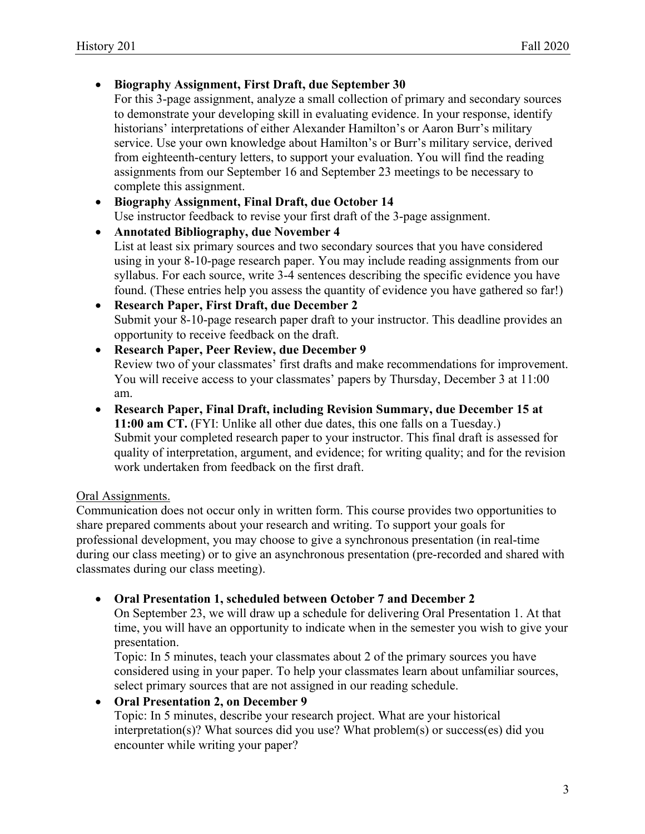### • **Biography Assignment, First Draft, due September 30**

For this 3-page assignment, analyze a small collection of primary and secondary sources to demonstrate your developing skill in evaluating evidence. In your response, identify historians' interpretations of either Alexander Hamilton's or Aaron Burr's military service. Use your own knowledge about Hamilton's or Burr's military service, derived from eighteenth-century letters, to support your evaluation. You will find the reading assignments from our September 16 and September 23 meetings to be necessary to complete this assignment.

- **Biography Assignment, Final Draft, due October 14** Use instructor feedback to revise your first draft of the 3-page assignment.
- **Annotated Bibliography, due November 4** List at least six primary sources and two secondary sources that you have considered using in your 8-10-page research paper. You may include reading assignments from our syllabus. For each source, write 3-4 sentences describing the specific evidence you have found. (These entries help you assess the quantity of evidence you have gathered so far!)
- **Research Paper, First Draft, due December 2** Submit your 8-10-page research paper draft to your instructor. This deadline provides an opportunity to receive feedback on the draft.
- **Research Paper, Peer Review, due December 9** Review two of your classmates' first drafts and make recommendations for improvement. You will receive access to your classmates' papers by Thursday, December 3 at 11:00 am.
- **Research Paper, Final Draft, including Revision Summary, due December 15 at 11:00 am CT.** (FYI: Unlike all other due dates, this one falls on a Tuesday.) Submit your completed research paper to your instructor. This final draft is assessed for quality of interpretation, argument, and evidence; for writing quality; and for the revision work undertaken from feedback on the first draft.

### Oral Assignments.

Communication does not occur only in written form. This course provides two opportunities to share prepared comments about your research and writing. To support your goals for professional development, you may choose to give a synchronous presentation (in real-time during our class meeting) or to give an asynchronous presentation (pre-recorded and shared with classmates during our class meeting).

• **Oral Presentation 1, scheduled between October 7 and December 2**

On September 23, we will draw up a schedule for delivering Oral Presentation 1. At that time, you will have an opportunity to indicate when in the semester you wish to give your presentation.

Topic: In 5 minutes, teach your classmates about 2 of the primary sources you have considered using in your paper. To help your classmates learn about unfamiliar sources, select primary sources that are not assigned in our reading schedule.

### • **Oral Presentation 2, on December 9**

Topic: In 5 minutes, describe your research project. What are your historical interpretation(s)? What sources did you use? What problem(s) or success(es) did you encounter while writing your paper?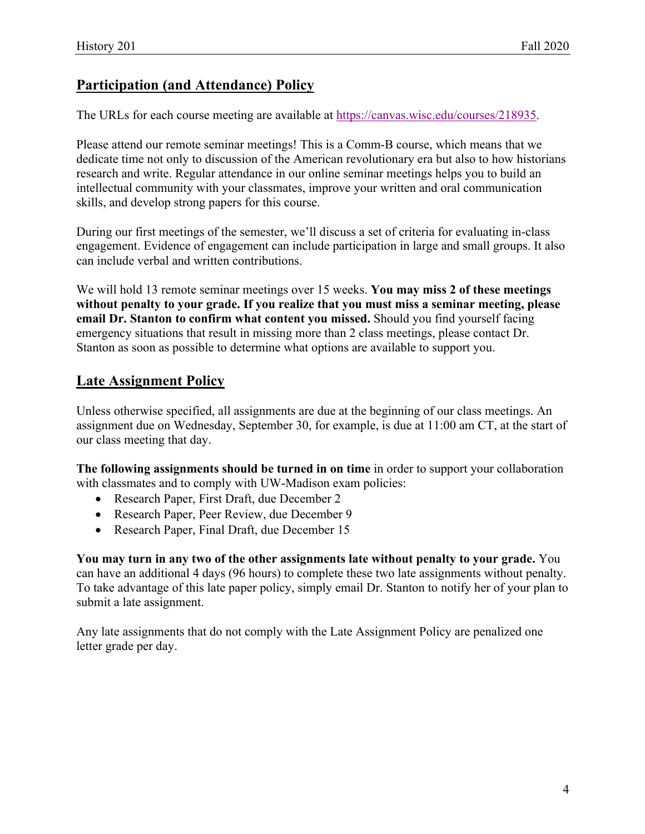# **Participation (and Attendance) Policy**

The URLs for each course meeting are available at https://canvas.wisc.edu/courses/218935.

Please attend our remote seminar meetings! This is a Comm-B course, which means that we dedicate time not only to discussion of the American revolutionary era but also to how historians research and write. Regular attendance in our online seminar meetings helps you to build an intellectual community with your classmates, improve your written and oral communication skills, and develop strong papers for this course.

During our first meetings of the semester, we'll discuss a set of criteria for evaluating in-class engagement. Evidence of engagement can include participation in large and small groups. It also can include verbal and written contributions.

We will hold 13 remote seminar meetings over 15 weeks. **You may miss 2 of these meetings without penalty to your grade. If you realize that you must miss a seminar meeting, please email Dr. Stanton to confirm what content you missed.** Should you find yourself facing emergency situations that result in missing more than 2 class meetings, please contact Dr. Stanton as soon as possible to determine what options are available to support you.

# **Late Assignment Policy**

Unless otherwise specified, all assignments are due at the beginning of our class meetings. An assignment due on Wednesday, September 30, for example, is due at 11:00 am CT, at the start of our class meeting that day.

**The following assignments should be turned in on time** in order to support your collaboration with classmates and to comply with UW-Madison exam policies:

- Research Paper, First Draft, due December 2
- Research Paper, Peer Review, due December 9
- Research Paper, Final Draft, due December 15

**You may turn in any two of the other assignments late without penalty to your grade.** You can have an additional 4 days (96 hours) to complete these two late assignments without penalty. To take advantage of this late paper policy, simply email Dr. Stanton to notify her of your plan to submit a late assignment.

Any late assignments that do not comply with the Late Assignment Policy are penalized one letter grade per day.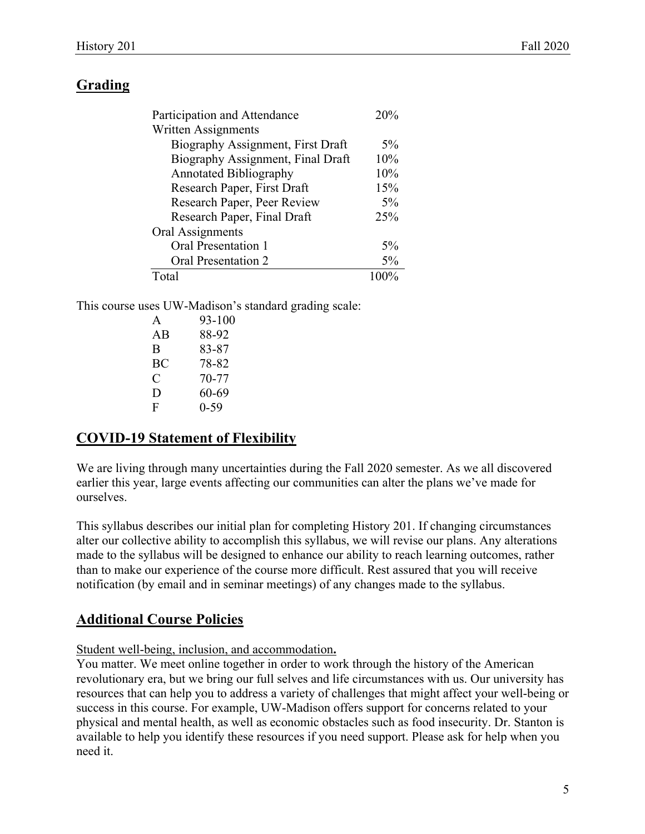# **Grading**

| Participation and Attendance      | 20%   |
|-----------------------------------|-------|
| <b>Written Assignments</b>        |       |
| Biography Assignment, First Draft | $5\%$ |
| Biography Assignment, Final Draft | 10%   |
| <b>Annotated Bibliography</b>     | 10%   |
| Research Paper, First Draft       | 15%   |
| Research Paper, Peer Review       | $5\%$ |
| Research Paper, Final Draft       | 25%   |
| <b>Oral Assignments</b>           |       |
| <b>Oral Presentation 1</b>        | 5%    |
| Oral Presentation 2               | $5\%$ |
| Total                             |       |

This course uses UW-Madison's standard grading scale:

| A  | 93-100   |
|----|----------|
| AB | 88-92    |
| B  | 83-87    |
| ВC | 78-82    |
| C  | 70-77    |
| D  | 60-69    |
| F  | $0 - 59$ |

### **COVID-19 Statement of Flexibility**

We are living through many uncertainties during the Fall 2020 semester. As we all discovered earlier this year, large events affecting our communities can alter the plans we've made for ourselves.

This syllabus describes our initial plan for completing History 201. If changing circumstances alter our collective ability to accomplish this syllabus, we will revise our plans. Any alterations made to the syllabus will be designed to enhance our ability to reach learning outcomes, rather than to make our experience of the course more difficult. Rest assured that you will receive notification (by email and in seminar meetings) of any changes made to the syllabus.

# **Additional Course Policies**

### Student well-being, inclusion, and accommodation**.**

You matter. We meet online together in order to work through the history of the American revolutionary era, but we bring our full selves and life circumstances with us. Our university has resources that can help you to address a variety of challenges that might affect your well-being or success in this course. For example, UW-Madison offers support for concerns related to your physical and mental health, as well as economic obstacles such as food insecurity. Dr. Stanton is available to help you identify these resources if you need support. Please ask for help when you need it.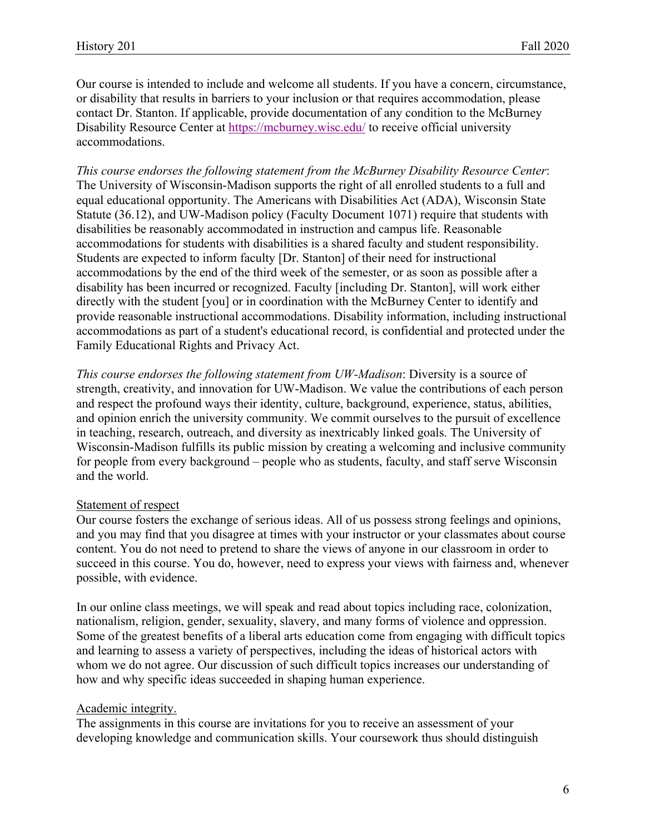Our course is intended to include and welcome all students. If you have a concern, circumstance, or disability that results in barriers to your inclusion or that requires accommodation, please contact Dr. Stanton. If applicable, provide documentation of any condition to the McBurney Disability Resource Center at https://mcburney.wisc.edu/ to receive official university accommodations.

*This course endorses the following statement from the McBurney Disability Resource Center*: The University of Wisconsin-Madison supports the right of all enrolled students to a full and equal educational opportunity. The Americans with Disabilities Act (ADA), Wisconsin State Statute (36.12), and UW-Madison policy (Faculty Document 1071) require that students with disabilities be reasonably accommodated in instruction and campus life. Reasonable accommodations for students with disabilities is a shared faculty and student responsibility. Students are expected to inform faculty [Dr. Stanton] of their need for instructional accommodations by the end of the third week of the semester, or as soon as possible after a disability has been incurred or recognized. Faculty [including Dr. Stanton], will work either directly with the student [you] or in coordination with the McBurney Center to identify and provide reasonable instructional accommodations. Disability information, including instructional accommodations as part of a student's educational record, is confidential and protected under the Family Educational Rights and Privacy Act.

*This course endorses the following statement from UW-Madison*: Diversity is a source of strength, creativity, and innovation for UW-Madison. We value the contributions of each person and respect the profound ways their identity, culture, background, experience, status, abilities, and opinion enrich the university community. We commit ourselves to the pursuit of excellence in teaching, research, outreach, and diversity as inextricably linked goals. The University of Wisconsin-Madison fulfills its public mission by creating a welcoming and inclusive community for people from every background – people who as students, faculty, and staff serve Wisconsin and the world.

### Statement of respect

Our course fosters the exchange of serious ideas. All of us possess strong feelings and opinions, and you may find that you disagree at times with your instructor or your classmates about course content. You do not need to pretend to share the views of anyone in our classroom in order to succeed in this course. You do, however, need to express your views with fairness and, whenever possible, with evidence.

In our online class meetings, we will speak and read about topics including race, colonization, nationalism, religion, gender, sexuality, slavery, and many forms of violence and oppression. Some of the greatest benefits of a liberal arts education come from engaging with difficult topics and learning to assess a variety of perspectives, including the ideas of historical actors with whom we do not agree. Our discussion of such difficult topics increases our understanding of how and why specific ideas succeeded in shaping human experience.

### Academic integrity.

The assignments in this course are invitations for you to receive an assessment of your developing knowledge and communication skills. Your coursework thus should distinguish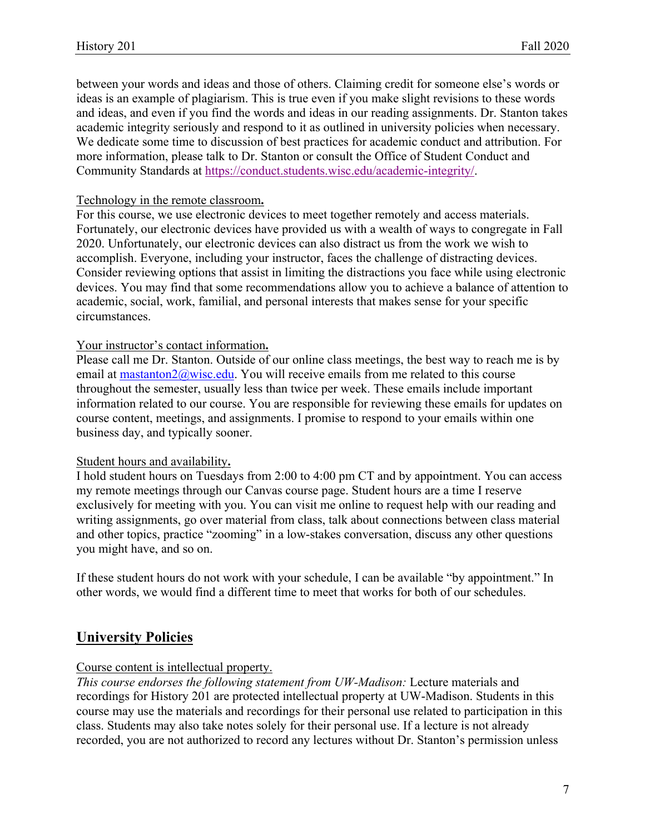between your words and ideas and those of others. Claiming credit for someone else's words or ideas is an example of plagiarism. This is true even if you make slight revisions to these words and ideas, and even if you find the words and ideas in our reading assignments. Dr. Stanton takes academic integrity seriously and respond to it as outlined in university policies when necessary. We dedicate some time to discussion of best practices for academic conduct and attribution. For more information, please talk to Dr. Stanton or consult the Office of Student Conduct and Community Standards at https://conduct.students.wisc.edu/academic-integrity/.

### Technology in the remote classroom**.**

For this course, we use electronic devices to meet together remotely and access materials. Fortunately, our electronic devices have provided us with a wealth of ways to congregate in Fall 2020. Unfortunately, our electronic devices can also distract us from the work we wish to accomplish. Everyone, including your instructor, faces the challenge of distracting devices. Consider reviewing options that assist in limiting the distractions you face while using electronic devices. You may find that some recommendations allow you to achieve a balance of attention to academic, social, work, familial, and personal interests that makes sense for your specific circumstances.

### Your instructor's contact information**.**

Please call me Dr. Stanton. Outside of our online class meetings, the best way to reach me is by email at mastanton2@wisc.edu. You will receive emails from me related to this course throughout the semester, usually less than twice per week. These emails include important information related to our course. You are responsible for reviewing these emails for updates on course content, meetings, and assignments. I promise to respond to your emails within one business day, and typically sooner.

#### Student hours and availability**.**

I hold student hours on Tuesdays from 2:00 to 4:00 pm CT and by appointment. You can access my remote meetings through our Canvas course page. Student hours are a time I reserve exclusively for meeting with you. You can visit me online to request help with our reading and writing assignments, go over material from class, talk about connections between class material and other topics, practice "zooming" in a low-stakes conversation, discuss any other questions you might have, and so on.

If these student hours do not work with your schedule, I can be available "by appointment." In other words, we would find a different time to meet that works for both of our schedules.

### **University Policies**

### Course content is intellectual property.

*This course endorses the following statement from UW-Madison:* Lecture materials and recordings for History 201 are protected intellectual property at UW-Madison. Students in this course may use the materials and recordings for their personal use related to participation in this class. Students may also take notes solely for their personal use. If a lecture is not already recorded, you are not authorized to record any lectures without Dr. Stanton's permission unless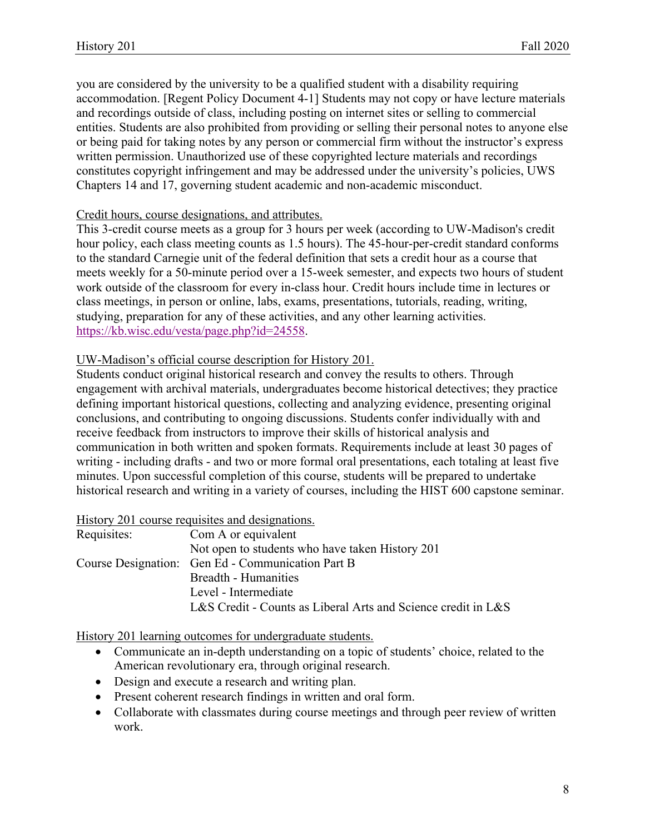you are considered by the university to be a qualified student with a disability requiring accommodation. [Regent Policy Document 4-1] Students may not copy or have lecture materials and recordings outside of class, including posting on internet sites or selling to commercial entities. Students are also prohibited from providing or selling their personal notes to anyone else or being paid for taking notes by any person or commercial firm without the instructor's express written permission. Unauthorized use of these copyrighted lecture materials and recordings constitutes copyright infringement and may be addressed under the university's policies, UWS Chapters 14 and 17, governing student academic and non-academic misconduct.

### Credit hours, course designations, and attributes.

This 3-credit course meets as a group for 3 hours per week (according to UW-Madison's credit hour policy, each class meeting counts as 1.5 hours). The 45-hour-per-credit standard conforms to the standard Carnegie unit of the federal definition that sets a credit hour as a course that meets weekly for a 50-minute period over a 15-week semester, and expects two hours of student work outside of the classroom for every in-class hour. Credit hours include time in lectures or class meetings, in person or online, labs, exams, presentations, tutorials, reading, writing, studying, preparation for any of these activities, and any other learning activities. https://kb.wisc.edu/vesta/page.php?id=24558.

### UW-Madison's official course description for History 201.

Students conduct original historical research and convey the results to others. Through engagement with archival materials, undergraduates become historical detectives; they practice defining important historical questions, collecting and analyzing evidence, presenting original conclusions, and contributing to ongoing discussions. Students confer individually with and receive feedback from instructors to improve their skills of historical analysis and communication in both written and spoken formats. Requirements include at least 30 pages of writing - including drafts - and two or more formal oral presentations, each totaling at least five minutes. Upon successful completion of this course, students will be prepared to undertake historical research and writing in a variety of courses, including the HIST 600 capstone seminar.

### History 201 course requisites and designations.

| Requisites: | Com A or equivalent                                           |
|-------------|---------------------------------------------------------------|
|             | Not open to students who have taken History 201               |
|             | Course Designation: Gen Ed - Communication Part B             |
|             | <b>Breadth - Humanities</b>                                   |
|             | Level - Intermediate                                          |
|             | L&S Credit - Counts as Liberal Arts and Science credit in L&S |

History 201 learning outcomes for undergraduate students.

- Communicate an in-depth understanding on a topic of students' choice, related to the American revolutionary era, through original research.
- Design and execute a research and writing plan.
- Present coherent research findings in written and oral form.
- Collaborate with classmates during course meetings and through peer review of written work.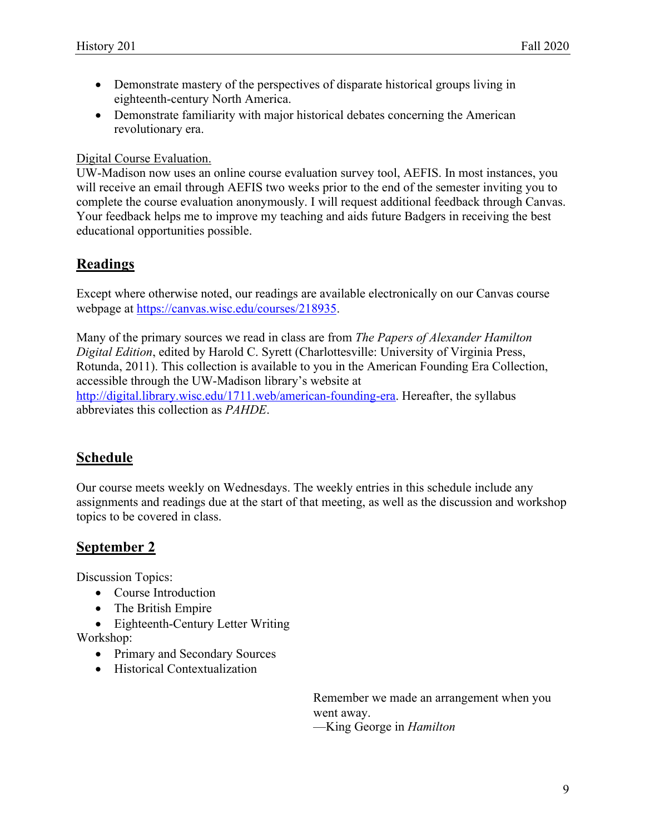- Demonstrate mastery of the perspectives of disparate historical groups living in eighteenth-century North America.
- Demonstrate familiarity with major historical debates concerning the American revolutionary era.

### Digital Course Evaluation.

UW-Madison now uses an online course evaluation survey tool, AEFIS. In most instances, you will receive an email through AEFIS two weeks prior to the end of the semester inviting you to complete the course evaluation anonymously. I will request additional feedback through Canvas. Your feedback helps me to improve my teaching and aids future Badgers in receiving the best educational opportunities possible.

### **Readings**

Except where otherwise noted, our readings are available electronically on our Canvas course webpage at https://canvas.wisc.edu/courses/218935.

Many of the primary sources we read in class are from *The Papers of Alexander Hamilton Digital Edition*, edited by Harold C. Syrett (Charlottesville: University of Virginia Press, Rotunda, 2011). This collection is available to you in the American Founding Era Collection, accessible through the UW-Madison library's website at http://digital.library.wisc.edu/1711.web/american-founding-era. Hereafter, the syllabus abbreviates this collection as *PAHDE*.

### **Schedule**

Our course meets weekly on Wednesdays. The weekly entries in this schedule include any assignments and readings due at the start of that meeting, as well as the discussion and workshop topics to be covered in class.

### **September 2**

Discussion Topics:

- Course Introduction
- The British Empire
- Eighteenth-Century Letter Writing

Workshop:

- Primary and Secondary Sources
- Historical Contextualization

Remember we made an arrangement when you went away.

—King George in *Hamilton*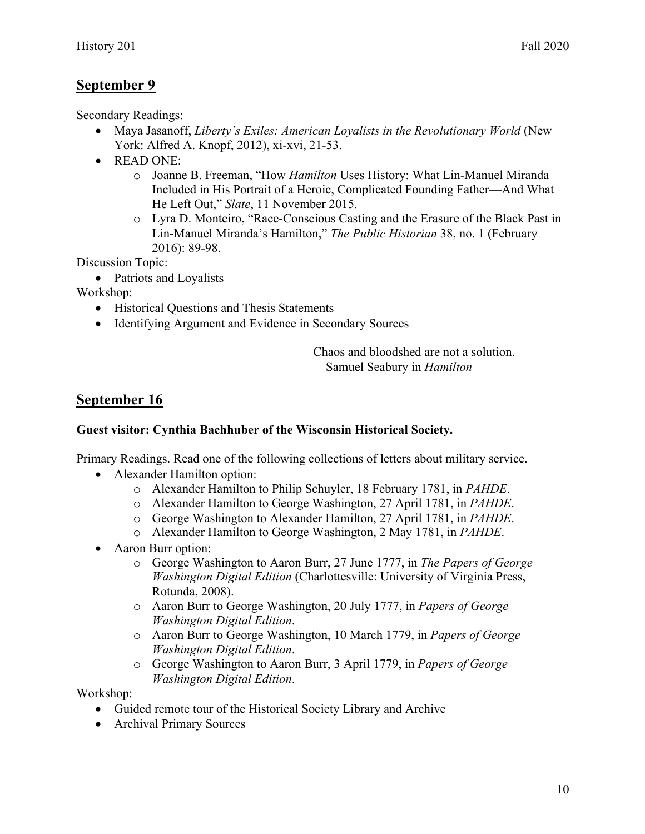# **September 9**

Secondary Readings:

- Maya Jasanoff, *Liberty's Exiles: American Loyalists in the Revolutionary World* (New York: Alfred A. Knopf, 2012), xi-xvi, 21-53.
- READ ONE:
	- o Joanne B. Freeman, "How *Hamilton* Uses History: What Lin-Manuel Miranda Included in His Portrait of a Heroic, Complicated Founding Father—And What He Left Out," *Slate*, 11 November 2015.
	- o Lyra D. Monteiro, "Race-Conscious Casting and the Erasure of the Black Past in Lin-Manuel Miranda's Hamilton," *The Public Historian* 38, no. 1 (February 2016): 89-98.

Discussion Topic:

• Patriots and Loyalists

Workshop:

- Historical Questions and Thesis Statements
- Identifying Argument and Evidence in Secondary Sources

Chaos and bloodshed are not a solution. —Samuel Seabury in *Hamilton*

## **September 16**

### **Guest visitor: Cynthia Bachhuber of the Wisconsin Historical Society.**

Primary Readings. Read one of the following collections of letters about military service.

- Alexander Hamilton option:
	- o Alexander Hamilton to Philip Schuyler, 18 February 1781, in *PAHDE*.
	- o Alexander Hamilton to George Washington, 27 April 1781, in *PAHDE*.
	- o George Washington to Alexander Hamilton, 27 April 1781, in *PAHDE*.
	- o Alexander Hamilton to George Washington, 2 May 1781, in *PAHDE*.
- Aaron Burr option:
	- o George Washington to Aaron Burr, 27 June 1777, in *The Papers of George Washington Digital Edition* (Charlottesville: University of Virginia Press, Rotunda, 2008).
	- o Aaron Burr to George Washington, 20 July 1777, in *Papers of George Washington Digital Edition*.
	- o Aaron Burr to George Washington, 10 March 1779, in *Papers of George Washington Digital Edition*.
	- o George Washington to Aaron Burr, 3 April 1779, in *Papers of George Washington Digital Edition*.

Workshop:

- Guided remote tour of the Historical Society Library and Archive
- Archival Primary Sources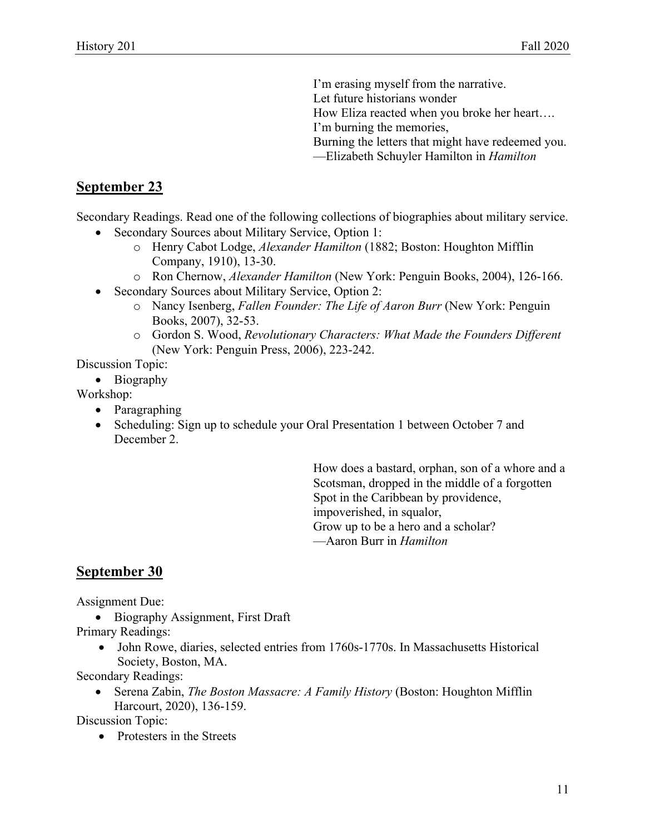I'm erasing myself from the narrative. Let future historians wonder How Eliza reacted when you broke her heart…. I'm burning the memories, Burning the letters that might have redeemed you. —Elizabeth Schuyler Hamilton in *Hamilton*

### **September 23**

Secondary Readings. Read one of the following collections of biographies about military service.

- Secondary Sources about Military Service, Option 1:
	- o Henry Cabot Lodge, *Alexander Hamilton* (1882; Boston: Houghton Mifflin Company, 1910), 13-30.
	- o Ron Chernow, *Alexander Hamilton* (New York: Penguin Books, 2004), 126-166.
- Secondary Sources about Military Service, Option 2:
	- o Nancy Isenberg, *Fallen Founder: The Life of Aaron Burr* (New York: Penguin Books, 2007), 32-53.
	- o Gordon S. Wood, *Revolutionary Characters: What Made the Founders Different*  (New York: Penguin Press, 2006), 223-242.

Discussion Topic:

• Biography

Workshop:

- Paragraphing
- Scheduling: Sign up to schedule your Oral Presentation 1 between October 7 and December 2.

How does a bastard, orphan, son of a whore and a Scotsman, dropped in the middle of a forgotten Spot in the Caribbean by providence, impoverished, in squalor, Grow up to be a hero and a scholar? —Aaron Burr in *Hamilton*

# **September 30**

Assignment Due:

• Biography Assignment, First Draft Primary Readings:

• John Rowe, diaries, selected entries from 1760s-1770s. In Massachusetts Historical Society, Boston, MA.

Secondary Readings:

• Serena Zabin, *The Boston Massacre: A Family History* (Boston: Houghton Mifflin Harcourt, 2020), 136-159.

Discussion Topic:

• Protesters in the Streets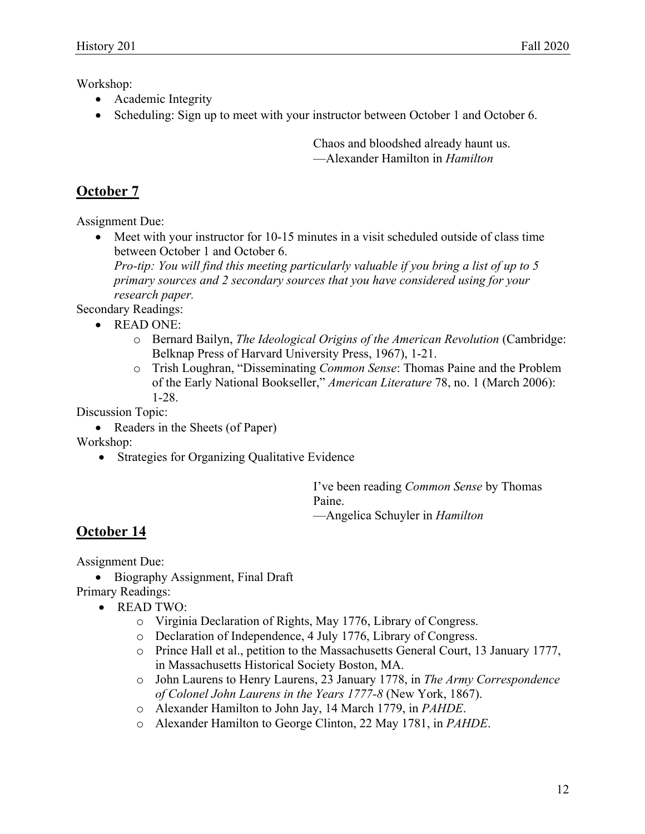Workshop:

- Academic Integrity
- Scheduling: Sign up to meet with your instructor between October 1 and October 6.

Chaos and bloodshed already haunt us. —Alexander Hamilton in *Hamilton*

## **October 7**

Assignment Due:

Meet with your instructor for 10-15 minutes in a visit scheduled outside of class time between October 1 and October 6.

*Pro-tip: You will find this meeting particularly valuable if you bring a list of up to 5 primary sources and 2 secondary sources that you have considered using for your research paper.*

Secondary Readings:

- READ ONE:
	- o Bernard Bailyn, *The Ideological Origins of the American Revolution* (Cambridge: Belknap Press of Harvard University Press, 1967), 1-21.
	- o Trish Loughran, "Disseminating *Common Sense*: Thomas Paine and the Problem of the Early National Bookseller," *American Literature* 78, no. 1 (March 2006): 1-28.

Discussion Topic:

• Readers in the Sheets (of Paper)

Workshop:

• Strategies for Organizing Qualitative Evidence

I've been reading *Common Sense* by Thomas Paine. —Angelica Schuyler in *Hamilton*

# **October 14**

Assignment Due:

• Biography Assignment, Final Draft Primary Readings:

- READ TWO:
	- o Virginia Declaration of Rights, May 1776, Library of Congress.
	- o Declaration of Independence, 4 July 1776, Library of Congress.
	- o Prince Hall et al., petition to the Massachusetts General Court, 13 January 1777, in Massachusetts Historical Society Boston, MA.
	- o John Laurens to Henry Laurens, 23 January 1778, in *The Army Correspondence of Colonel John Laurens in the Years 1777-8* (New York, 1867).
	- o Alexander Hamilton to John Jay, 14 March 1779, in *PAHDE*.
	- o Alexander Hamilton to George Clinton, 22 May 1781, in *PAHDE*.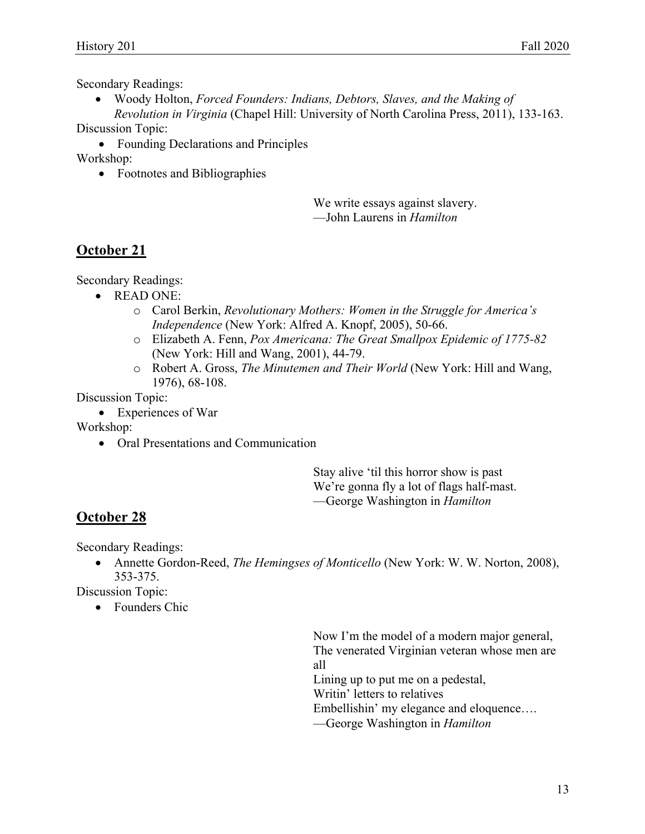Secondary Readings:

• Woody Holton, *Forced Founders: Indians, Debtors, Slaves, and the Making of Revolution in Virginia* (Chapel Hill: University of North Carolina Press, 2011), 133-163.

Discussion Topic:

- Founding Declarations and Principles Workshop:
	- Footnotes and Bibliographies

We write essays against slavery. —John Laurens in *Hamilton*

# **October 21**

Secondary Readings:

- READ ONE:
	- o Carol Berkin, *Revolutionary Mothers: Women in the Struggle for America's Independence* (New York: Alfred A. Knopf, 2005), 50-66.
	- o Elizabeth A. Fenn, *Pox Americana: The Great Smallpox Epidemic of 1775-82* (New York: Hill and Wang, 2001), 44-79.
	- o Robert A. Gross, *The Minutemen and Their World* (New York: Hill and Wang, 1976), 68-108.

Discussion Topic:

• Experiences of War

Workshop:

• Oral Presentations and Communication

Stay alive 'til this horror show is past We're gonna fly a lot of flags half-mast. —George Washington in *Hamilton*

# **October 28**

Secondary Readings:

• Annette Gordon-Reed, *The Hemingses of Monticello* (New York: W. W. Norton, 2008), 353-375.

Discussion Topic:

• Founders Chic

Now I'm the model of a modern major general, The venerated Virginian veteran whose men are all Lining up to put me on a pedestal, Writin' letters to relatives Embellishin' my elegance and eloquence…. —George Washington in *Hamilton*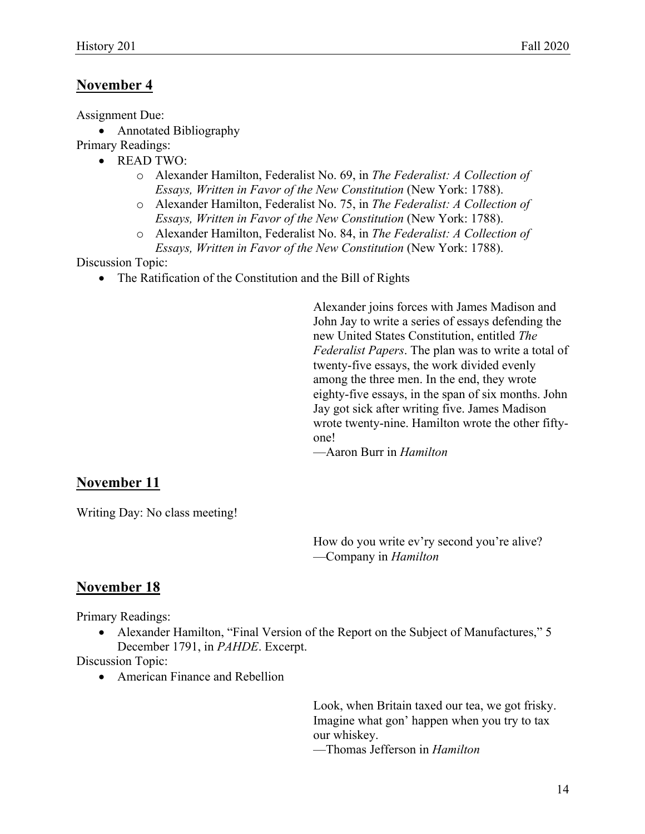# **November 4**

Assignment Due:

• Annotated Bibliography

Primary Readings:

- READ TWO:
	- o Alexander Hamilton, Federalist No. 69, in *The Federalist: A Collection of Essays, Written in Favor of the New Constitution* (New York: 1788).
	- o Alexander Hamilton, Federalist No. 75, in *The Federalist: A Collection of Essays, Written in Favor of the New Constitution* (New York: 1788).
	- o Alexander Hamilton, Federalist No. 84, in *The Federalist: A Collection of Essays, Written in Favor of the New Constitution* (New York: 1788).

Discussion Topic:

• The Ratification of the Constitution and the Bill of Rights

Alexander joins forces with James Madison and John Jay to write a series of essays defending the new United States Constitution, entitled *The Federalist Papers*. The plan was to write a total of twenty-five essays, the work divided evenly among the three men. In the end, they wrote eighty-five essays, in the span of six months. John Jay got sick after writing five. James Madison wrote twenty-nine. Hamilton wrote the other fiftyone!

—Aaron Burr in *Hamilton*

# **November 11**

Writing Day: No class meeting!

How do you write ev'ry second you're alive? —Company in *Hamilton*

# **November 18**

Primary Readings:

• Alexander Hamilton, "Final Version of the Report on the Subject of Manufactures," 5 December 1791, in *PAHDE*. Excerpt.

Discussion Topic:

• American Finance and Rebellion

Look, when Britain taxed our tea, we got frisky. Imagine what gon' happen when you try to tax our whiskey.

—Thomas Jefferson in *Hamilton*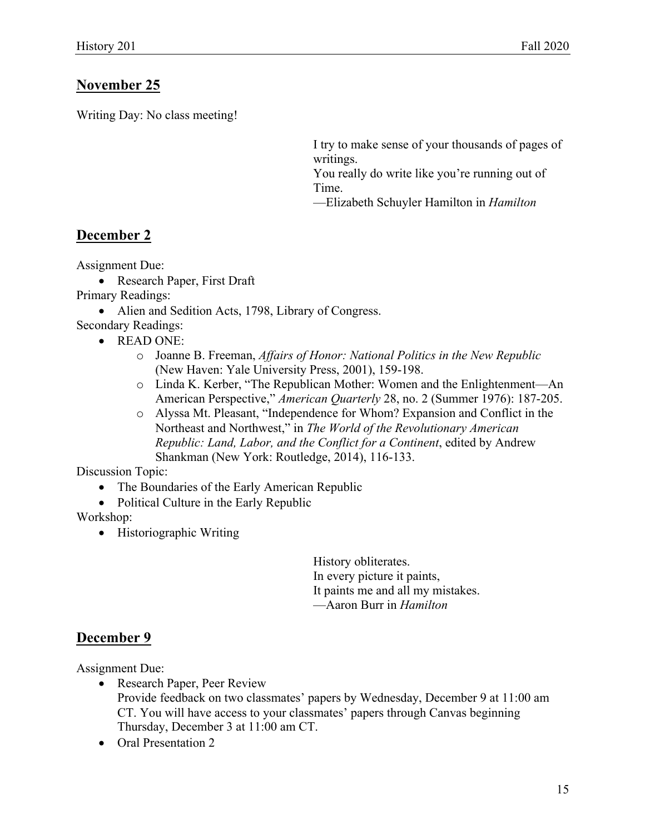# **November 25**

Writing Day: No class meeting!

I try to make sense of your thousands of pages of writings.

You really do write like you're running out of Time.

—Elizabeth Schuyler Hamilton in *Hamilton*

### **December 2**

Assignment Due:

• Research Paper, First Draft

Primary Readings:

- Alien and Sedition Acts, 1798, Library of Congress.
- Secondary Readings:
	- READ ONE:
		- o Joanne B. Freeman, *Affairs of Honor: National Politics in the New Republic* (New Haven: Yale University Press, 2001), 159-198.
		- o Linda K. Kerber, "The Republican Mother: Women and the Enlightenment—An American Perspective," *American Quarterly* 28, no. 2 (Summer 1976): 187-205.
		- o Alyssa Mt. Pleasant, "Independence for Whom? Expansion and Conflict in the Northeast and Northwest," in *The World of the Revolutionary American Republic: Land, Labor, and the Conflict for a Continent*, edited by Andrew Shankman (New York: Routledge, 2014), 116-133.

Discussion Topic:

- The Boundaries of the Early American Republic
- Political Culture in the Early Republic
- Workshop:
	- Historiographic Writing

History obliterates. In every picture it paints, It paints me and all my mistakes. —Aaron Burr in *Hamilton*

### **December 9**

Assignment Due:

- Research Paper, Peer Review Provide feedback on two classmates' papers by Wednesday, December 9 at 11:00 am CT. You will have access to your classmates' papers through Canvas beginning Thursday, December 3 at 11:00 am CT.
- Oral Presentation 2